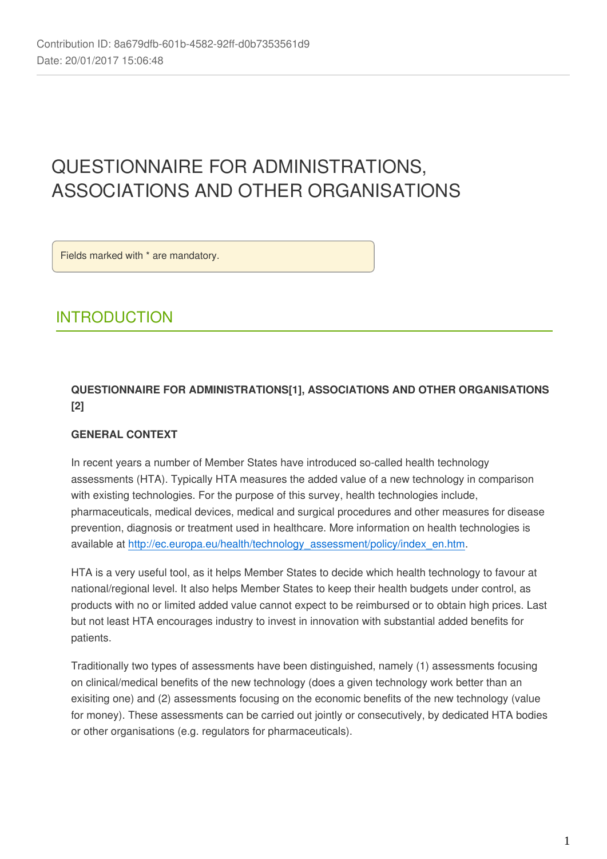# QUESTIONNAIRE FOR ADMINISTRATIONS, ASSOCIATIONS AND OTHER ORGANISATIONS

Fields marked with \* are mandatory.

## INTRODUCTION

## **QUESTIONNAIRE FOR ADMINISTRATIONS[1], ASSOCIATIONS AND OTHER ORGANISATIONS [2]**

## **GENERAL CONTEXT**

In recent years a number of Member States have introduced so-called health technology assessments (HTA). Typically HTA measures the added value of a new technology in comparison with existing technologies. For the purpose of this survey, health technologies include, pharmaceuticals, medical devices, medical and surgical procedures and other measures for disease prevention, diagnosis or treatment used in healthcare. More information on health technologies is available at [http://ec.europa.eu/health/technology\\_assessment/policy/index\\_en.htm](http://ec.europa.eu/health/technology_assessment/policy/index_en.htm).

HTA is a very useful tool, as it helps Member States to decide which health technology to favour at national/regional level. It also helps Member States to keep their health budgets under control, as products with no or limited added value cannot expect to be reimbursed or to obtain high prices. Last but not least HTA encourages industry to invest in innovation with substantial added benefits for patients.

Traditionally two types of assessments have been distinguished, namely (1) assessments focusing on clinical/medical benefits of the new technology (does a given technology work better than an exisiting one) and (2) assessments focusing on the economic benefits of the new technology (value for money). These assessments can be carried out jointly or consecutively, by dedicated HTA bodies or other organisations (e.g. regulators for pharmaceuticals).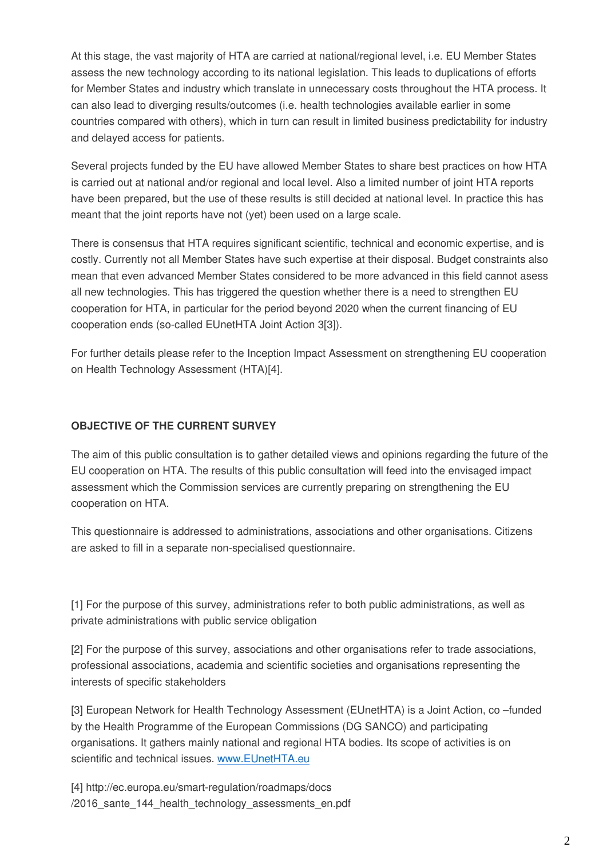At this stage, the vast majority of HTA are carried at national/regional level, i.e. EU Member States assess the new technology according to its national legislation. This leads to duplications of efforts for Member States and industry which translate in unnecessary costs throughout the HTA process. It can also lead to diverging results/outcomes (i.e. health technologies available earlier in some countries compared with others), which in turn can result in limited business predictability for industry and delayed access for patients.

Several projects funded by the EU have allowed Member States to share best practices on how HTA is carried out at national and/or regional and local level. Also a limited number of joint HTA reports have been prepared, but the use of these results is still decided at national level. In practice this has meant that the joint reports have not (yet) been used on a large scale.

There is consensus that HTA requires significant scientific, technical and economic expertise, and is costly. Currently not all Member States have such expertise at their disposal. Budget constraints also mean that even advanced Member States considered to be more advanced in this field cannot asess all new technologies. This has triggered the question whether there is a need to strengthen EU cooperation for HTA, in particular for the period beyond 2020 when the current financing of EU cooperation ends (so-called EUnetHTA Joint Action 3[3]).

For further details please refer to the Inception Impact Assessment on strengthening EU cooperation on Health Technology Assessment (HTA)[4].

### **OBJECTIVE OF THE CURRENT SURVEY**

The aim of this public consultation is to gather detailed views and opinions regarding the future of the EU cooperation on HTA. The results of this public consultation will feed into the envisaged impact assessment which the Commission services are currently preparing on strengthening the EU cooperation on HTA.

This questionnaire is addressed to administrations, associations and other organisations. Citizens are asked to fill in a separate non-specialised questionnaire.

[1] For the purpose of this survey, administrations refer to both public administrations, as well as private administrations with public service obligation

[2] For the purpose of this survey, associations and other organisations refer to trade associations, professional associations, academia and scientific societies and organisations representing the interests of specific stakeholders

[3] European Network for Health Technology Assessment (EUnetHTA) is a Joint Action, co –funded by the Health Programme of the European Commissions (DG SANCO) and participating organisations. It gathers mainly national and regional HTA bodies. Its scope of activities is on scientific and technical issues. [www.EUnetHTA.eu](http://www.EUnetHTA.eu)

[4] http://ec.europa.eu/smart-regulation/roadmaps/docs /2016 sante 144 health technology assessments en.pdf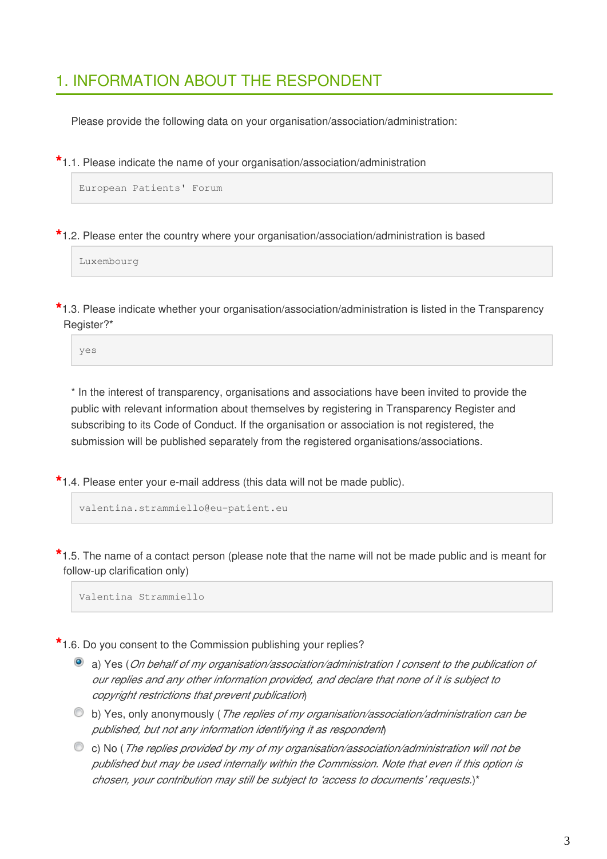## 1. INFORMATION ABOUT THE RESPONDENT

Please provide the following data on your organisation/association/administration:

**\***1.1. Please indicate the name of your organisation/association/administration

European Patients' Forum

**\***1.2. Please enter the country where your organisation/association/administration is based

Luxembourg

**\***1.3. Please indicate whether your organisation/association/administration is listed in the Transparency Register?\*

yes

\* In the interest of transparency, organisations and associations have been invited to provide the public with relevant information about themselves by registering in Transparency Register and subscribing to its Code of Conduct. If the organisation or association is not registered, the submission will be published separately from the registered organisations/associations.

**\***1.4. Please enter your e-mail address (this data will not be made public).

valentina.strammiello@eu-patient.eu

**\***1.5. The name of a contact person (please note that the name will not be made public and is meant for follow-up clarification only)

Valentina Strammiello

**\***1.6. Do you consent to the Commission publishing your replies?

- a) Yes (*On behalf of my organisation/association/administration I consent to the publication of our replies and any other information provided, and declare that none of it is subject to copyright restrictions that prevent publication*)
- b) Yes, only anonymously (*The replies of my organisation/association/administration can be published, but not any information identifying it as respondent*)
- c) No (*The replies provided by my of my organisation/association/administration will not be published but may be used internally within the Commission. Note that even if this option is chosen, your contribution may still be subject to 'access to documents' requests.*)\*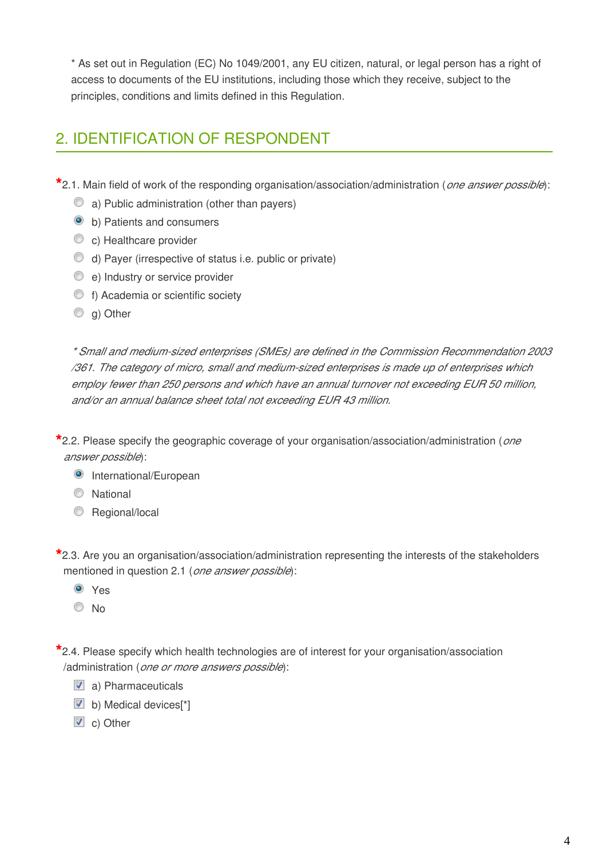\* As set out in Regulation (EC) No 1049/2001, any EU citizen, natural, or legal person has a right of access to documents of the EU institutions, including those which they receive, subject to the principles, conditions and limits defined in this Regulation.

## 2. IDENTIFICATION OF RESPONDENT

**\***2.1. Main field of work of the responding organisation/association/administration (*one answer possible*):

- a) Public administration (other than payers)
- b) Patients and consumers
- C c) Healthcare provider
- d) Payer (irrespective of status i.e. public or private)
- e) Industry or service provider
- f) Academia or scientific society
- C a) Other

*\* Small and medium-sized enterprises (SMEs) are defined in the Commission Recommendation 2003 /361. The category of micro, small and medium-sized enterprises is made up of enterprises which employ fewer than 250 persons and which have an annual turnover not exceeding EUR 50 million, and/or an annual balance sheet total not exceeding EUR 43 million.*

**\***2.2. Please specify the geographic coverage of your organisation/association/administration (*one answer possible*):

- **O** International/European
- C National
- **Regional/local**

**\***2.3. Are you an organisation/association/administration representing the interests of the stakeholders mentioned in question 2.1 (*one answer possible*):

- Yes
- No

**\***2.4. Please specify which health technologies are of interest for your organisation/association /administration (*one or more answers possible*):

- a) Pharmaceuticals
- b) Medical devices<sup>[\*]</sup>
- C) Other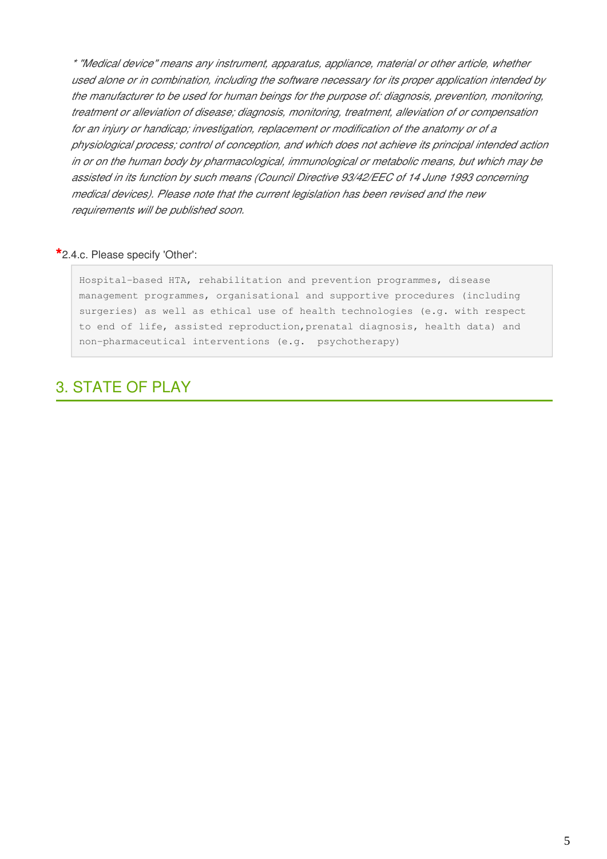*\* "Medical device" means any instrument, apparatus, appliance, material or other article, whether used alone or in combination, including the software necessary for its proper application intended by the manufacturer to be used for human beings for the purpose of: diagnosis, prevention, monitoring, treatment or alleviation of disease; diagnosis, monitoring, treatment, alleviation of or compensation for an injury or handicap; investigation, replacement or modification of the anatomy or of a physiological process; control of conception, and which does not achieve its principal intended action in or on the human body by pharmacological, immunological or metabolic means, but which may be assisted in its function by such means (Council Directive 93/42/EEC of 14 June 1993 concerning medical devices). Please note that the current legislation has been revised and the new requirements will be published soon.*

#### **\***2.4.c. Please specify 'Other':

Hospital-based HTA, rehabilitation and prevention programmes, disease management programmes, organisational and supportive procedures (including surgeries) as well as ethical use of health technologies (e.g. with respect to end of life, assisted reproduction,prenatal diagnosis, health data) and non-pharmaceutical interventions (e.g. psychotherapy)

## 3. STATE OF PLAY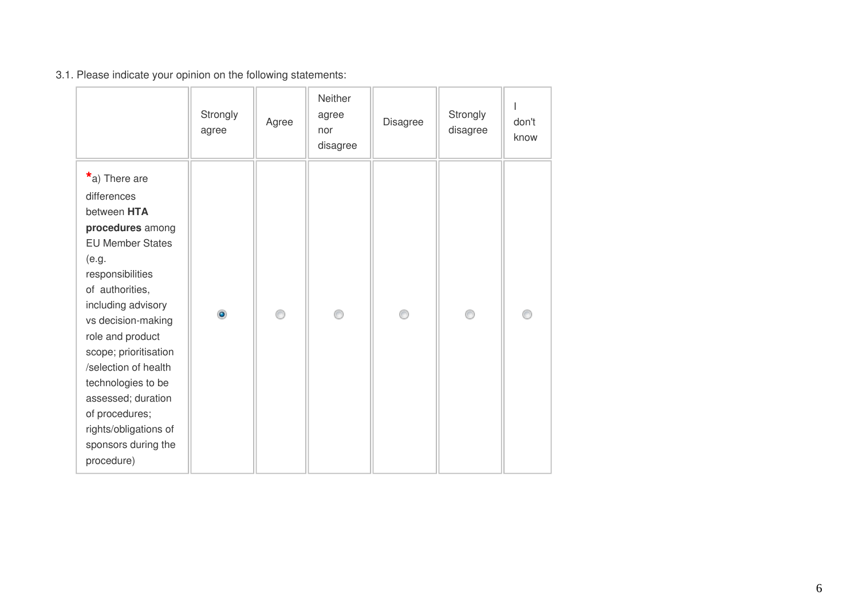## 3.1. Please indicate your opinion on the following statements:

|                                                                                                                                                                                                                                                                                                                                                                                            | Strongly<br>agree | Agree | Neither<br>agree<br>nor<br>disagree | Disagree | Strongly<br>disagree | don't<br>know |
|--------------------------------------------------------------------------------------------------------------------------------------------------------------------------------------------------------------------------------------------------------------------------------------------------------------------------------------------------------------------------------------------|-------------------|-------|-------------------------------------|----------|----------------------|---------------|
| $*$ a) There are<br>differences<br>between HTA<br>procedures among<br><b>EU Member States</b><br>(e.g.<br>responsibilities<br>of authorities,<br>including advisory<br>vs decision-making<br>role and product<br>scope; prioritisation<br>/selection of health<br>technologies to be<br>assessed; duration<br>of procedures;<br>rights/obligations of<br>sponsors during the<br>procedure) | $\circledcirc$    | ⋒     | ⊙                                   | ⊙        |                      |               |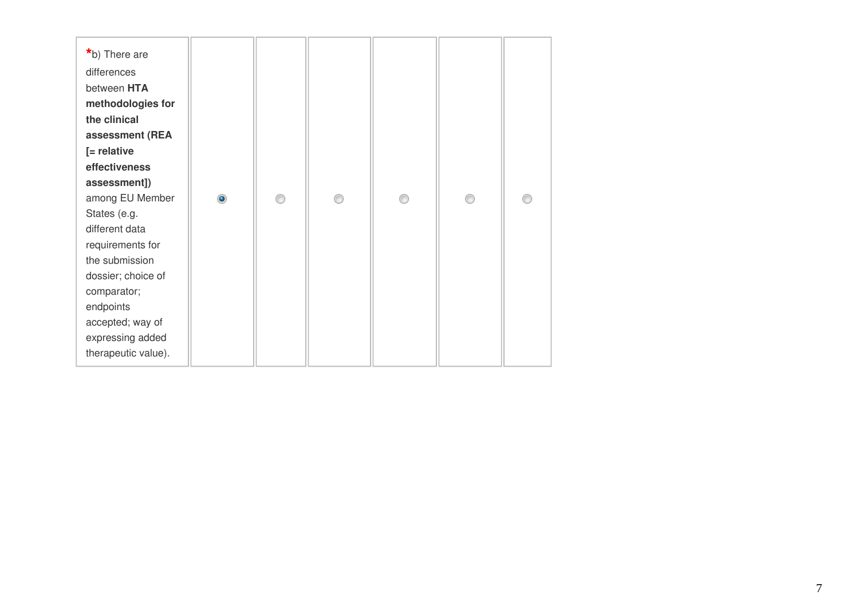| *b) There are<br>differences<br>between HTA<br>methodologies for<br>the clinical<br>assessment (REA<br>$[$ = relative<br>effectiveness<br>assessment])<br>among EU Member<br>$\bullet$<br>∩<br>⋒<br>A<br>⋒<br>States (e.g.<br>different data<br>requirements for<br>the submission<br>dossier; choice of<br>comparator;<br>endpoints<br>accepted; way of<br>expressing added |                     |  |  |  |
|------------------------------------------------------------------------------------------------------------------------------------------------------------------------------------------------------------------------------------------------------------------------------------------------------------------------------------------------------------------------------|---------------------|--|--|--|
|                                                                                                                                                                                                                                                                                                                                                                              | therapeutic value). |  |  |  |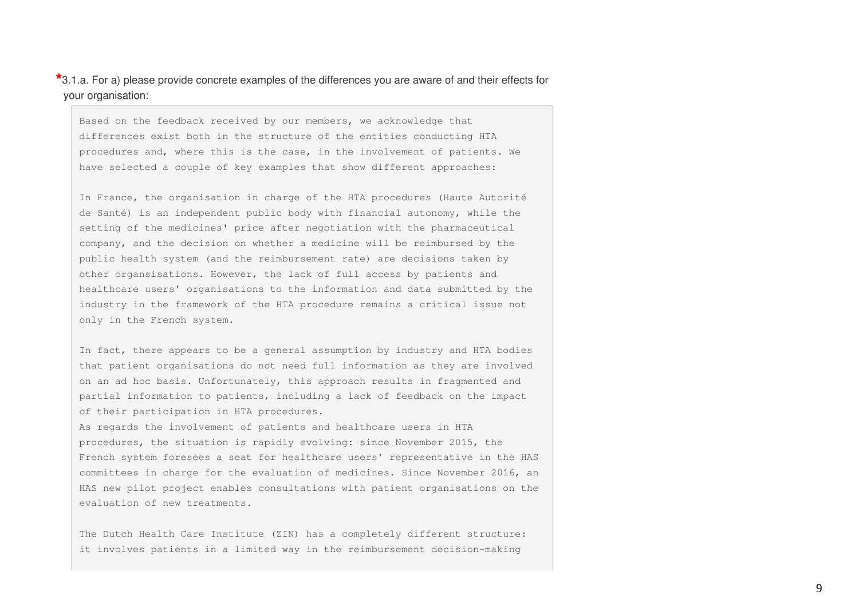**\***3.1.a. For a) please provide concrete examples of the differences you are aware of and their effects for your organisation:

Based on the feedback received by our members, we acknowledge that differences exist both in the structure of the entities conducting HTA procedures and, where this is the case, in the involvement of patients. We have selected a couple of key examples that show different approaches:

In France, the organisation in charge of the HTA procedures (Haute Autorité de Santé) is an independent public body with financial autonomy, while the setting of the medicines' price after negotiation with the pharmaceutical company, and the decision on whether a medicine will be reimbursed by the public health system (and the reimbursement rate) are decisions taken by other organsisations. However, the lack of full access by patients and healthcare users' organisations to the information and data submitted by the industry in the framework of the HTA procedure remains a critical issue not only in the French system.

In fact, there appears to be a general assumption by industry and HTA bodies that patient organisations do not need full information as they are involved on an ad hoc basis. Unfortunately, this approach results in fragmented and partial information to patients, including a lack of feedback on the impact of their participation in HTA procedures.

As regards the involvement of patients and healthcare users in HTA procedures, the situation is rapidly evolving: since November 2015, the French system foresees a seat for healthcare users' representative in the HAS committees in charge for the evaluation of medicines. Since November 2016, an HAS new pilot project enables consultations with patient organisations on the evaluation of new treatments.

The Dutch Health Care Institute (ZIN) has a completely different structure: it involves patients in a limited way in the reimbursement decision-making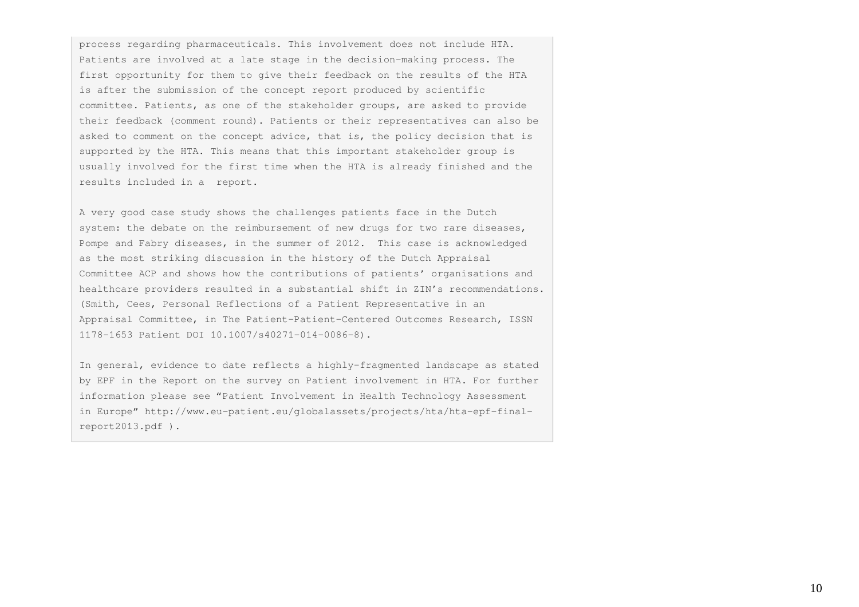process regarding pharmaceuticals. This involvement does not include HTA. Patients are involved at a late stage in the decision-making process. The first opportunity for them to give their feedback on the results of the HTA is after the submission of the concept report produced by scientific committee. Patients, as one of the stakeholder groups, are asked to provide their feedback (comment round). Patients or their representatives can also be asked to comment on the concept advice, that is, the policy decision that is supported by the HTA. This means that this important stakeholder group is usually involved for the first time when the HTA is already finished and the results included in a report.

A very good case study shows the challenges patients face in the Dutch system: the debate on the reimbursement of new drugs for two rare diseases, Pompe and Fabry diseases, in the summer of 2012. This case is acknowledged as the most striking discussion in the history of the Dutch Appraisal Committee ACP and shows how the contributions of patients' organisations and healthcare providers resulted in a substantial shift in ZIN's recommendations. (Smith, Cees, Personal Reflections of a Patient Representative in an Appraisal Committee, in The Patient-Patient-Centered Outcomes Research, ISSN 1178-1653 Patient DOI 10.1007/s40271-014-0086-8).

In general, evidence to date reflects a highly-fragmented landscape as stated by EPF in the Report on the survey on Patient involvement in HTA. For further information please see "Patient Involvement in Health Technology Assessment in Europe" http://www.eu-patient.eu/globalassets/projects/hta/hta-epf-finalreport2013.pdf ).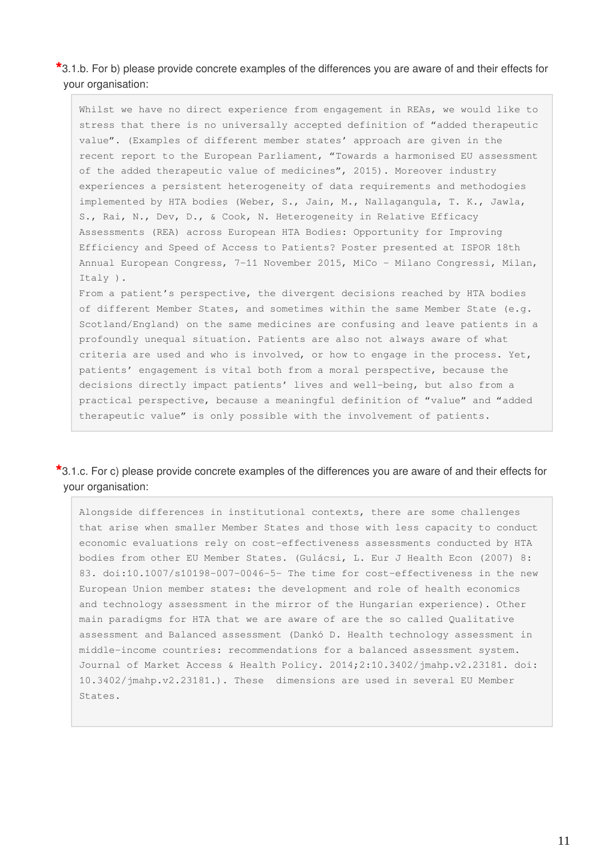**\***3.1.b. For b) please provide concrete examples of the differences you are aware of and their effects for your organisation:

Whilst we have no direct experience from engagement in REAs, we would like to stress that there is no universally accepted definition of "added therapeutic value". (Examples of different member states' approach are given in the recent report to the European Parliament, "Towards a harmonised EU assessment of the added therapeutic value of medicines", 2015). Moreover industry experiences a persistent heterogeneity of data requirements and methodogies implemented by HTA bodies (Weber, S., Jain, M., Nallagangula, T. K., Jawla, S., Rai, N., Dev, D., & Cook, N. Heterogeneity in Relative Efficacy Assessments (REA) across European HTA Bodies: Opportunity for Improving Efficiency and Speed of Access to Patients? Poster presented at ISPOR 18th Annual European Congress, 7-11 November 2015, MiCo - Milano Congressi, Milan, Italy ).

From a patient's perspective, the divergent decisions reached by HTA bodies of different Member States, and sometimes within the same Member State (e.g. Scotland/England) on the same medicines are confusing and leave patients in a profoundly unequal situation. Patients are also not always aware of what criteria are used and who is involved, or how to engage in the process. Yet, patients' engagement is vital both from a moral perspective, because the decisions directly impact patients' lives and well-being, but also from a practical perspective, because a meaningful definition of "value" and "added therapeutic value" is only possible with the involvement of patients.

#### **\***3.1.c. For c) please provide concrete examples of the differences you are aware of and their effects for your organisation:

Alongside differences in institutional contexts, there are some challenges that arise when smaller Member States and those with less capacity to conduct economic evaluations rely on cost-effectiveness assessments conducted by HTA bodies from other EU Member States. (Gulácsi, L. Eur J Health Econ (2007) 8: 83. doi:10.1007/s10198-007-0046-5- The time for cost-effectiveness in the new European Union member states: the development and role of health economics and technology assessment in the mirror of the Hungarian experience). Other main paradigms for HTA that we are aware of are the so called Qualitative assessment and Balanced assessment (Dankó D. Health technology assessment in middle-income countries: recommendations for a balanced assessment system. Journal of Market Access & Health Policy. 2014;2:10.3402/jmahp.v2.23181. doi: 10.3402/jmahp.v2.23181.). These dimensions are used in several EU Member States.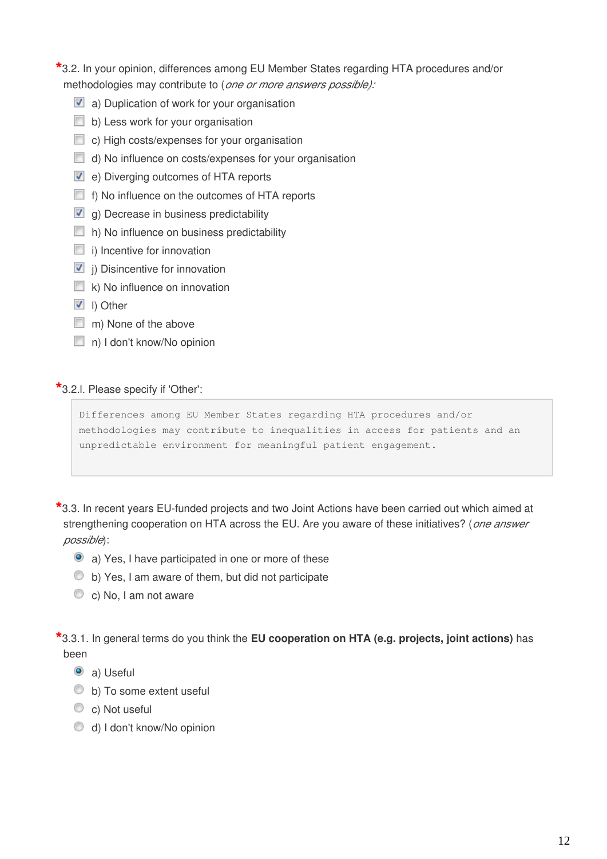## **\***3.2. In your opinion, differences among EU Member States regarding HTA procedures and/or methodologies may contribute to (*one or more answers possible):*

- **a**) Duplication of work for your organisation
- $\Box$  b) Less work for your organisation
- $\Box$  c) High costs/expenses for your organisation
- $\Box$  d) No influence on costs/expenses for your organisation
- **D** e) Diverging outcomes of HTA reports
- $\Box$  f) No influence on the outcomes of HTA reports
- $\Box$  g) Decrease in business predictability
- $\Box$  h) No influence on business predictability
- $\Box$  i) Incentive for innovation
- $\blacksquare$  i) Disincentive for innovation
- $\Box$  k) No influence on innovation
- **l**) Other
- m) None of the above
- n) I don't know/No opinion

#### **\***3.2.l. Please specify if 'Other':

```
Differences among EU Member States regarding HTA procedures and/or 
methodologies may contribute to inequalities in access for patients and an 
unpredictable environment for meaningful patient engagement.
```
**\***3.3. In recent years EU-funded projects and two Joint Actions have been carried out which aimed at strengthening cooperation on HTA across the EU. Are you aware of these initiatives? (*one answer possible*):

- a) Yes, I have participated in one or more of these
- b) Yes, I am aware of them, but did not participate
- C c) No, I am not aware

**\***3.3.1. In general terms do you think the **EU cooperation on HTA (e.g. projects, joint actions)** has been

- **a**) Useful
- $\bullet$  b) To some extent useful
- C c) Not useful
- d) I don't know/No opinion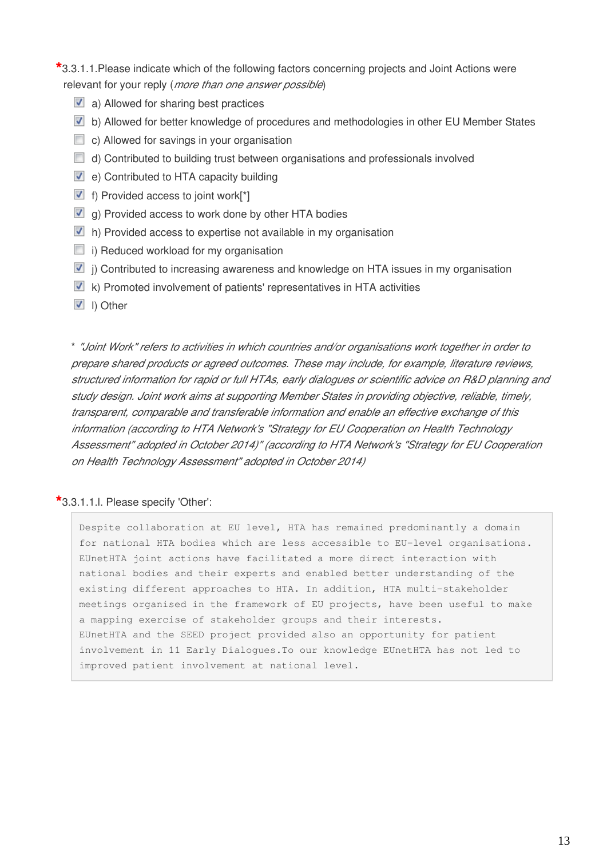### **\***3.3.1.1.Please indicate which of the following factors concerning projects and Joint Actions were relevant for your reply (*more than one answer possible*)

- $\blacksquare$  a) Allowed for sharing best practices
- b) Allowed for better knowledge of procedures and methodologies in other EU Member States
- $\Box$  c) Allowed for savings in your organisation
- $\Box$  d) Contributed to building trust between organisations and professionals involved
- **v** e) Contributed to HTA capacity building
- $\blacksquare$  f) Provided access to joint work[\*]
- $\blacksquare$  g) Provided access to work done by other HTA bodies
- In) Provided access to expertise not available in my organisation
- $\Box$  i) Reduced workload for my organisation
- $\blacksquare$  j) Contributed to increasing awareness and knowledge on HTA issues in my organisation
- $\blacksquare$  k) Promoted involvement of patients' representatives in HTA activities
- **l**) Other

\* *"Joint Work" refers to activities in which countries and/or organisations work together in order to prepare shared products or agreed outcomes. These may include, for example, literature reviews, structured information for rapid or full HTAs, early dialogues or scientific advice on R&D planning and study design. Joint work aims at supporting Member States in providing objective, reliable, timely, transparent, comparable and transferable information and enable an effective exchange of this information (according to HTA Network's "Strategy for EU Cooperation on Health Technology Assessment" adopted in October 2014)" (according to HTA Network's "Strategy for EU Cooperation on Health Technology Assessment" adopted in October 2014)*

#### **\***3.3.1.1.l. Please specify 'Other':

Despite collaboration at EU level, HTA has remained predominantly a domain for national HTA bodies which are less accessible to EU-level organisations. EUnetHTA joint actions have facilitated a more direct interaction with national bodies and their experts and enabled better understanding of the existing different approaches to HTA. In addition, HTA multi-stakeholder meetings organised in the framework of EU projects, have been useful to make a mapping exercise of stakeholder groups and their interests. EUnetHTA and the SEED project provided also an opportunity for patient involvement in 11 Early Dialogues.To our knowledge EUnetHTA has not led to improved patient involvement at national level.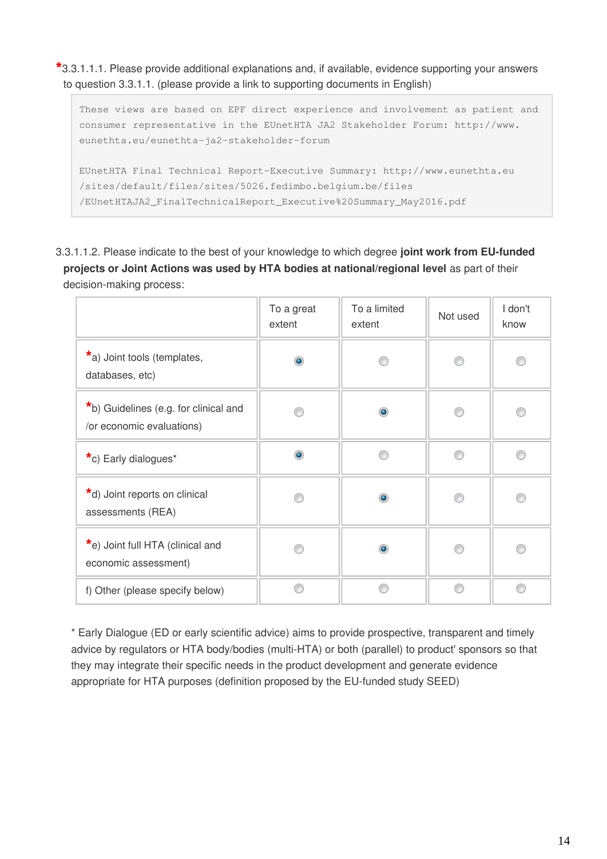**\***3.3.1.1.1. Please provide additional explanations and, if available, evidence supporting your answers to question 3.3.1.1. (please provide a link to supporting documents in English)

```
These views are based on EPF direct experience and involvement as patient and 
consumer representative in the EUnetHTA JA2 Stakeholder Forum: http://www.
eunethta.eu/eunethta-ja2-stakeholder-forum
EUnetHTA Final Technical Report-Executive Summary: http://www.eunethta.eu
/sites/default/files/sites/5026.fedimbo.belgium.be/files
/EUnetHTAJA2_FinalTechnicalReport_Executive%20Summary_May2016.pdf
```
3.3.1.1.2. Please indicate to the best of your knowledge to which degree **joint work from EU-funded projects or Joint Actions was used by HTA bodies at national/regional level** as part of their decision-making process:

|                                                                    | To a great<br>extent | To a limited<br>extent | Not used | I don't<br>know |
|--------------------------------------------------------------------|----------------------|------------------------|----------|-----------------|
| *a) Joint tools (templates,<br>databases, etc)                     | ۵                    |                        |          |                 |
| *b) Guidelines (e.g. for clinical and<br>/or economic evaluations) |                      | ۵                      |          |                 |
| *c) Early dialogues*                                               | $\circledcirc$       |                        |          |                 |
| *d) Joint reports on clinical<br>assessments (REA)                 |                      | $\bullet$              |          |                 |
| *e) Joint full HTA (clinical and<br>economic assessment)           |                      | ۰                      |          |                 |
| f) Other (please specify below)                                    |                      |                        | ⋒        | ⋒               |

\* Early Dialogue (ED or early scientific advice) aims to provide prospective, transparent and timely advice by regulators or HTA body/bodies (multi-HTA) or both (parallel) to product' sponsors so that they may integrate their specific needs in the product development and generate evidence appropriate for HTA purposes (definition proposed by the EU-funded study SEED)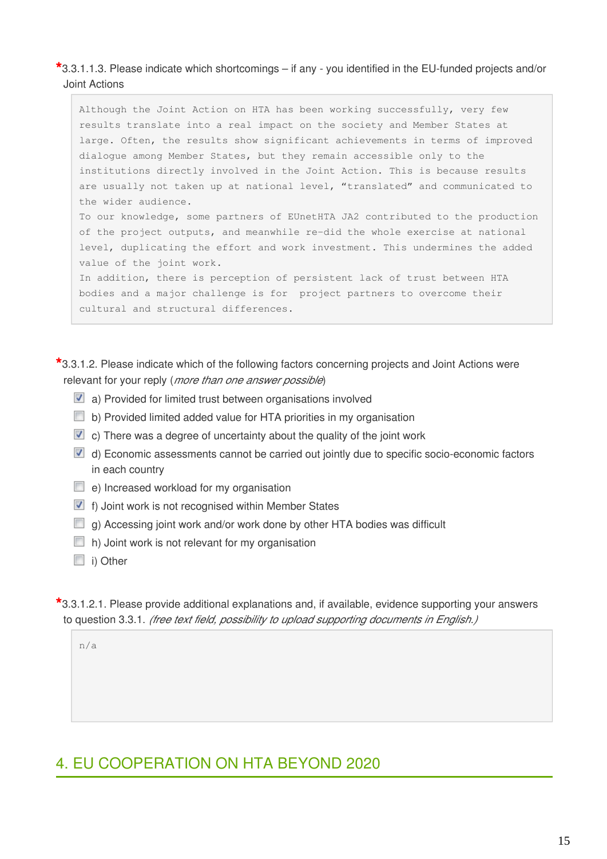**\***3.3.1.1.3. Please indicate which shortcomings – if any - you identified in the EU-funded projects and/or Joint Actions

Although the Joint Action on HTA has been working successfully, very few results translate into a real impact on the society and Member States at large. Often, the results show significant achievements in terms of improved dialogue among Member States, but they remain accessible only to the institutions directly involved in the Joint Action. This is because results are usually not taken up at national level, "translated" and communicated to the wider audience. To our knowledge, some partners of EUnetHTA JA2 contributed to the production of the project outputs, and meanwhile re-did the whole exercise at national level, duplicating the effort and work investment. This undermines the added value of the joint work. In addition, there is perception of persistent lack of trust between HTA bodies and a major challenge is for project partners to overcome their

**\***3.3.1.2. Please indicate which of the following factors concerning projects and Joint Actions were relevant for your reply (*more than one answer possible*)

- **a**) Provided for limited trust between organisations involved
- b) Provided limited added value for HTA priorities in my organisation
- $\blacksquare$  c) There was a degree of uncertainty about the quality of the joint work
- $\blacksquare$  d) Economic assessments cannot be carried out jointly due to specific socio-economic factors in each country
- $\Box$  e) Increased workload for my organisation

cultural and structural differences.

- **F** f) Joint work is not recognised within Member States
- $\Box$  g) Accessing joint work and/or work done by other HTA bodies was difficult
- $\Box$  h) Joint work is not relevant for my organisation
- i) Other

**\***3.3.1.2.1. Please provide additional explanations and, if available, evidence supporting your answers to question 3.3.1. *(free text field, possibility to upload supporting documents in English.)*

n/a

## 4. EU COOPERATION ON HTA BEYOND 2020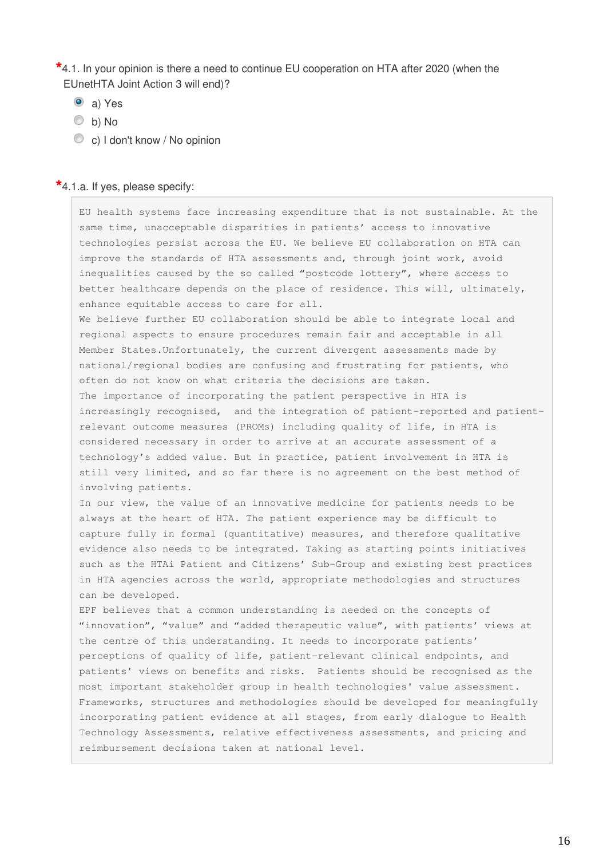**\***4.1. In your opinion is there a need to continue EU cooperation on HTA after 2020 (when the EUnetHTA Joint Action 3 will end)?

- a) Yes
- b) No
- c) I don't know / No opinion

#### **\***4.1.a. If yes, please specify:

EU health systems face increasing expenditure that is not sustainable. At the same time, unacceptable disparities in patients' access to innovative technologies persist across the EU. We believe EU collaboration on HTA can improve the standards of HTA assessments and, through joint work, avoid inequalities caused by the so called "postcode lottery", where access to better healthcare depends on the place of residence. This will, ultimately, enhance equitable access to care for all.

We believe further EU collaboration should be able to integrate local and regional aspects to ensure procedures remain fair and acceptable in all Member States.Unfortunately, the current divergent assessments made by national/regional bodies are confusing and frustrating for patients, who often do not know on what criteria the decisions are taken. The importance of incorporating the patient perspective in HTA is increasingly recognised, and the integration of patient-reported and patientrelevant outcome measures (PROMs) including quality of life, in HTA is considered necessary in order to arrive at an accurate assessment of a technology's added value. But in practice, patient involvement in HTA is still very limited, and so far there is no agreement on the best method of involving patients.

In our view, the value of an innovative medicine for patients needs to be always at the heart of HTA. The patient experience may be difficult to capture fully in formal (quantitative) measures, and therefore qualitative evidence also needs to be integrated. Taking as starting points initiatives such as the HTAi Patient and Citizens' Sub-Group and existing best practices in HTA agencies across the world, appropriate methodologies and structures can be developed.

EPF believes that a common understanding is needed on the concepts of "innovation", "value" and "added therapeutic value", with patients' views at the centre of this understanding. It needs to incorporate patients' perceptions of quality of life, patient-relevant clinical endpoints, and patients' views on benefits and risks. Patients should be recognised as the most important stakeholder group in health technologies' value assessment. Frameworks, structures and methodologies should be developed for meaningfully incorporating patient evidence at all stages, from early dialogue to Health Technology Assessments, relative effectiveness assessments, and pricing and reimbursement decisions taken at national level.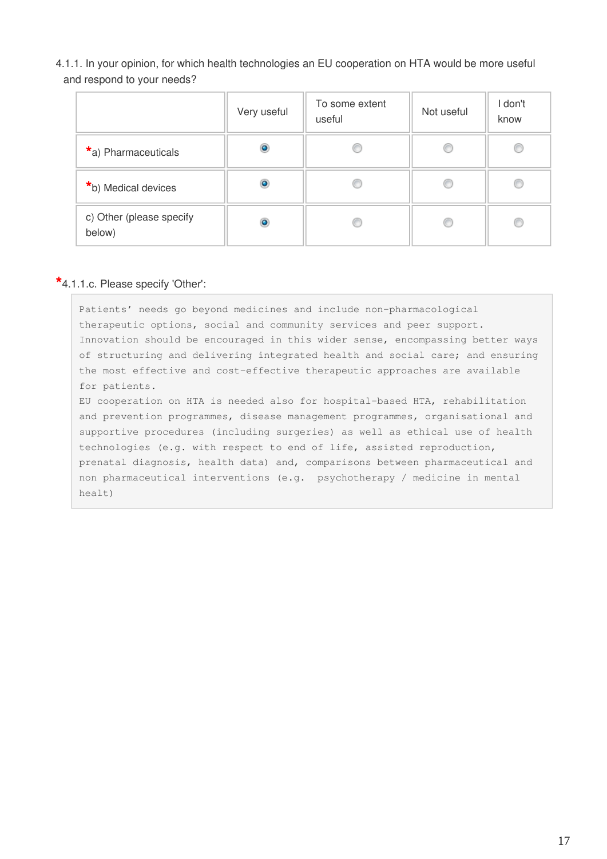4.1.1. In your opinion, for which health technologies an EU cooperation on HTA would be more useful and respond to your needs?

|                                    | Very useful | To some extent<br>useful | Not useful | I don't<br>know |
|------------------------------------|-------------|--------------------------|------------|-----------------|
| *a) Pharmaceuticals                |             |                          |            |                 |
| *b) Medical devices                |             |                          | Œ          |                 |
| c) Other (please specify<br>below) | ۵           |                          |            |                 |

#### **\***4.1.1.c. Please specify 'Other':

Patients' needs go beyond medicines and include non-pharmacological therapeutic options, social and community services and peer support. Innovation should be encouraged in this wider sense, encompassing better ways of structuring and delivering integrated health and social care; and ensuring the most effective and cost-effective therapeutic approaches are available for patients.

EU cooperation on HTA is needed also for hospital-based HTA, rehabilitation and prevention programmes, disease management programmes, organisational and supportive procedures (including surgeries) as well as ethical use of health technologies (e.g. with respect to end of life, assisted reproduction, prenatal diagnosis, health data) and, comparisons between pharmaceutical and non pharmaceutical interventions (e.g. psychotherapy / medicine in mental healt)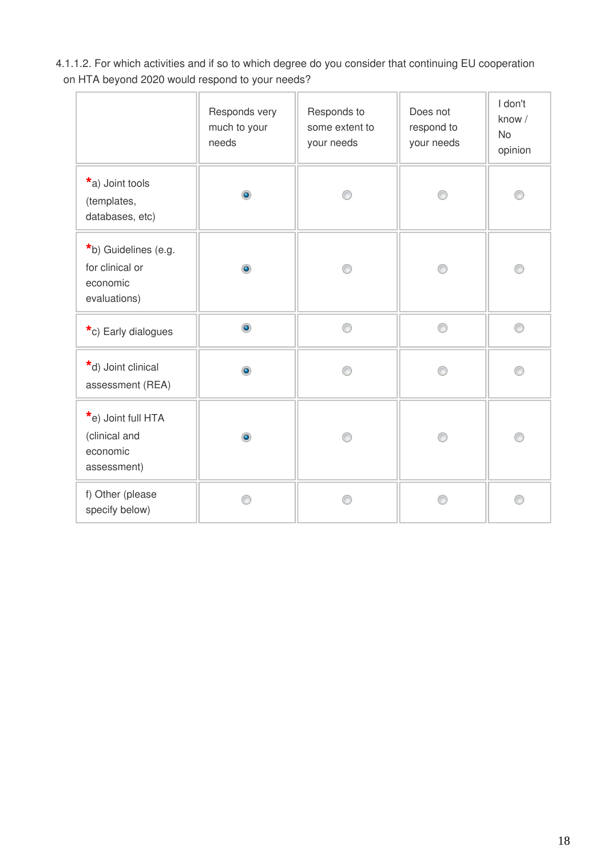4.1.1.2. For which activities and if so to which degree do you consider that continuing EU cooperation on HTA beyond 2020 would respond to your needs?

|                                                                     | Responds very<br>much to your<br>needs | Responds to<br>some extent to<br>your needs | Does not<br>respond to<br>your needs | I don't<br>know /<br><b>No</b><br>opinion |
|---------------------------------------------------------------------|----------------------------------------|---------------------------------------------|--------------------------------------|-------------------------------------------|
| *a) Joint tools<br>(templates,<br>databases, etc)                   | ۵                                      |                                             |                                      |                                           |
| *b) Guidelines (e.g.<br>for clinical or<br>economic<br>evaluations) | $\bullet$                              |                                             |                                      |                                           |
| *c) Early dialogues                                                 | $\bullet$                              | ∩                                           | ∩                                    | 0                                         |
| *d) Joint clinical<br>assessment (REA)                              | ۱                                      |                                             |                                      | ∩                                         |
| *e) Joint full HTA<br>(clinical and<br>economic<br>assessment)      | $\bullet$                              |                                             | ⋒                                    |                                           |
| f) Other (please<br>specify below)                                  |                                        |                                             |                                      |                                           |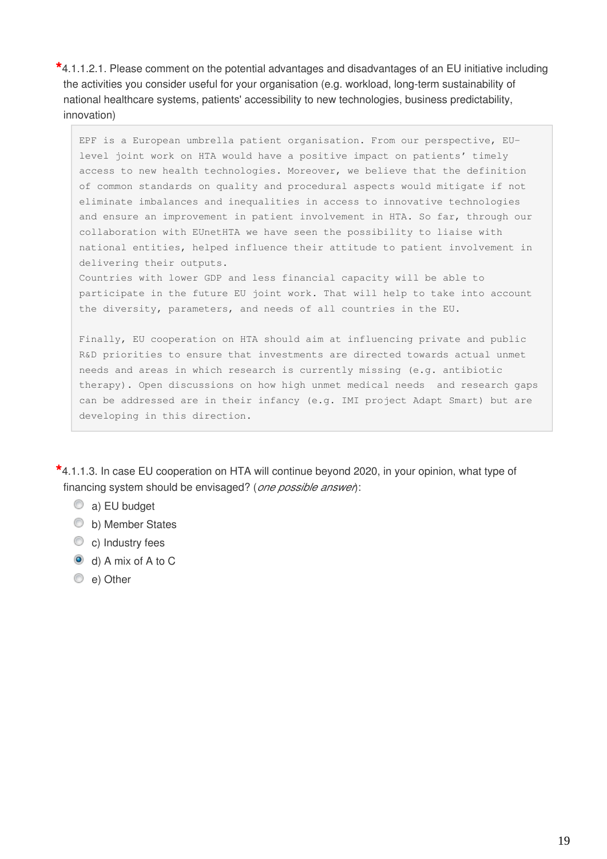**\***4.1.1.2.1. Please comment on the potential advantages and disadvantages of an EU initiative including the activities you consider useful for your organisation (e.g. workload, long-term sustainability of national healthcare systems, patients' accessibility to new technologies, business predictability, innovation)

EPF is a European umbrella patient organisation. From our perspective, EUlevel joint work on HTA would have a positive impact on patients' timely access to new health technologies. Moreover, we believe that the definition of common standards on quality and procedural aspects would mitigate if not eliminate imbalances and inequalities in access to innovative technologies and ensure an improvement in patient involvement in HTA. So far, through our collaboration with EUnetHTA we have seen the possibility to liaise with national entities, helped influence their attitude to patient involvement in delivering their outputs.

Countries with lower GDP and less financial capacity will be able to participate in the future EU joint work. That will help to take into account the diversity, parameters, and needs of all countries in the EU.

Finally, EU cooperation on HTA should aim at influencing private and public R&D priorities to ensure that investments are directed towards actual unmet needs and areas in which research is currently missing (e.g. antibiotic therapy). Open discussions on how high unmet medical needs and research gaps can be addressed are in their infancy (e.g. IMI project Adapt Smart) but are developing in this direction.

**\***4.1.1.3. In case EU cooperation on HTA will continue beyond 2020, in your opinion, what type of financing system should be envisaged? (*one possible answer*):

- a) EU budget
- b) Member States
- C c) Industry fees
- d) A mix of A to C
- e) Other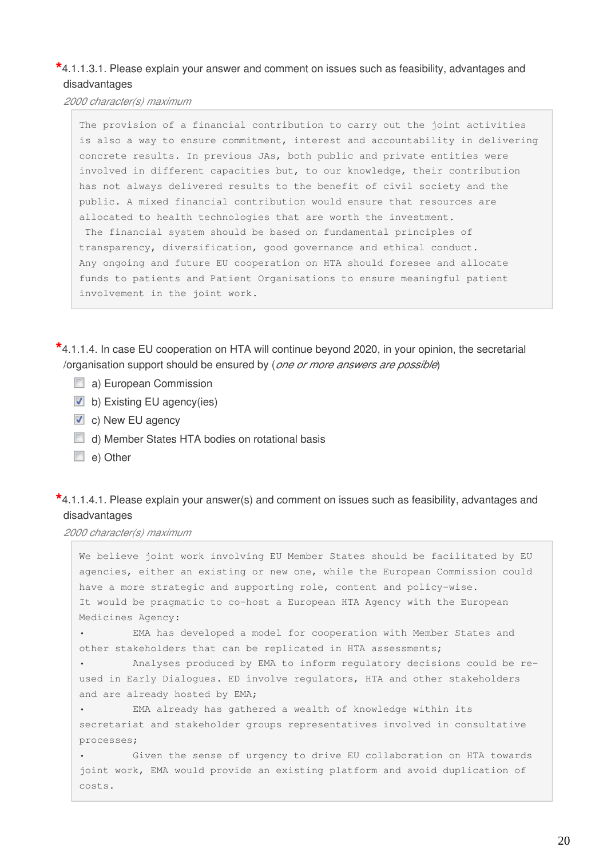### **\***4.1.1.3.1. Please explain your answer and comment on issues such as feasibility, advantages and disadvantages

*2000 character(s) maximum*

The provision of a financial contribution to carry out the joint activities is also a way to ensure commitment, interest and accountability in delivering concrete results. In previous JAs, both public and private entities were involved in different capacities but, to our knowledge, their contribution has not always delivered results to the benefit of civil society and the public. A mixed financial contribution would ensure that resources are allocated to health technologies that are worth the investment. The financial system should be based on fundamental principles of transparency, diversification, good governance and ethical conduct. Any ongoing and future EU cooperation on HTA should foresee and allocate funds to patients and Patient Organisations to ensure meaningful patient involvement in the joint work.

**\***4.1.1.4. In case EU cooperation on HTA will continue beyond 2020, in your opinion, the secretarial /organisation support should be ensured by (*one or more answers are possible*)

- a) European Commission
- $\blacksquare$  b) Existing EU agency(ies)
- c) New EU agency
- d) Member States HTA bodies on rotational basis
- e) Other

### **\***4.1.1.4.1. Please explain your answer(s) and comment on issues such as feasibility, advantages and disadvantages

*2000 character(s) maximum*

We believe joint work involving EU Member States should be facilitated by EU agencies, either an existing or new one, while the European Commission could have a more strategic and supporting role, content and policy-wise. It would be pragmatic to co-host a European HTA Agency with the European Medicines Agency: • EMA has developed a model for cooperation with Member States and other stakeholders that can be replicated in HTA assessments; • Analyses produced by EMA to inform regulatory decisions could be reused in Early Dialogues. ED involve regulators, HTA and other stakeholders and are already hosted by EMA; EMA already has gathered a wealth of knowledge within its secretariat and stakeholder groups representatives involved in consultative processes; • Given the sense of urgency to drive EU collaboration on HTA towards joint work, EMA would provide an existing platform and avoid duplication of costs.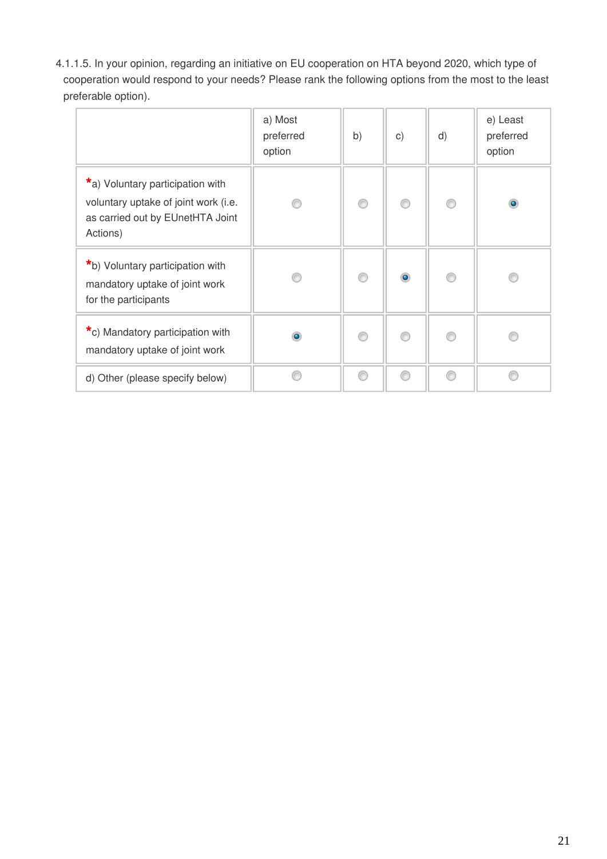4.1.1.5. In your opinion, regarding an initiative on EU cooperation on HTA beyond 2020, which type of cooperation would respond to your needs? Please rank the following options from the most to the least preferable option).

|                                                                                                                          | a) Most<br>preferred<br>option | b) | $\mathsf{C}$ ) | d) | e) Least<br>preferred<br>option |
|--------------------------------------------------------------------------------------------------------------------------|--------------------------------|----|----------------|----|---------------------------------|
| *a) Voluntary participation with<br>voluntary uptake of joint work (i.e.<br>as carried out by EUnetHTA Joint<br>Actions) |                                | ⋒  | 0              | ⋒  | $\bullet$                       |
| *b) Voluntary participation with<br>mandatory uptake of joint work<br>for the participants                               |                                | ⋒  | $\bullet$      | ⋒  | A                               |
| *c) Mandatory participation with<br>mandatory uptake of joint work                                                       | ٥                              |    | ⊙              |    |                                 |
| d) Other (please specify below)                                                                                          |                                | ⋒  | ⊙              | ⋒  |                                 |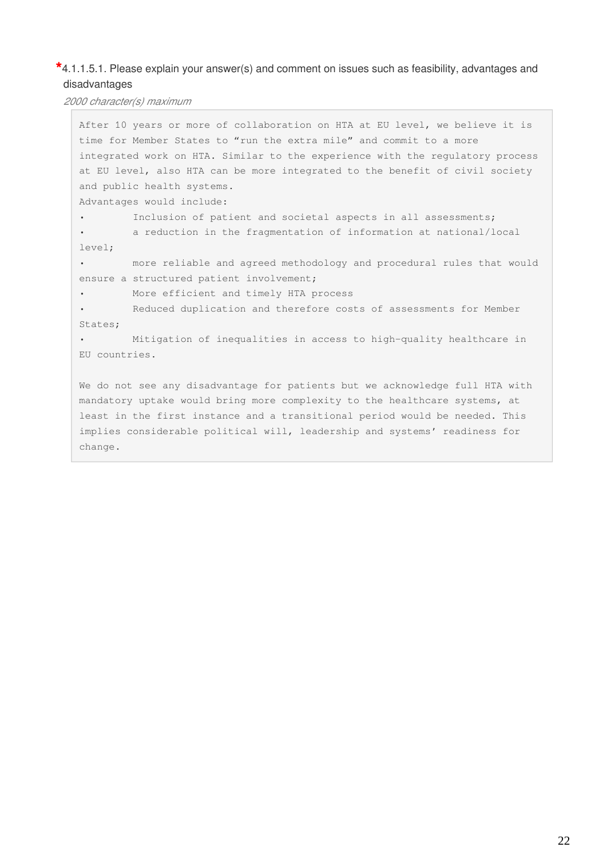### **\***4.1.1.5.1. Please explain your answer(s) and comment on issues such as feasibility, advantages and disadvantages

*2000 character(s) maximum*

After 10 years or more of collaboration on HTA at EU level, we believe it is time for Member States to "run the extra mile" and commit to a more integrated work on HTA. Similar to the experience with the regulatory process at EU level, also HTA can be more integrated to the benefit of civil society and public health systems. Advantages would include: Inclusion of patient and societal aspects in all assessments; • a reduction in the fragmentation of information at national/local level; • more reliable and agreed methodology and procedural rules that would ensure a structured patient involvement; • More efficient and timely HTA process • Reduced duplication and therefore costs of assessments for Member States; • Mitigation of inequalities in access to high-quality healthcare in EU countries. We do not see any disadvantage for patients but we acknowledge full HTA with mandatory uptake would bring more complexity to the healthcare systems, at least in the first instance and a transitional period would be needed. This implies considerable political will, leadership and systems' readiness for change.